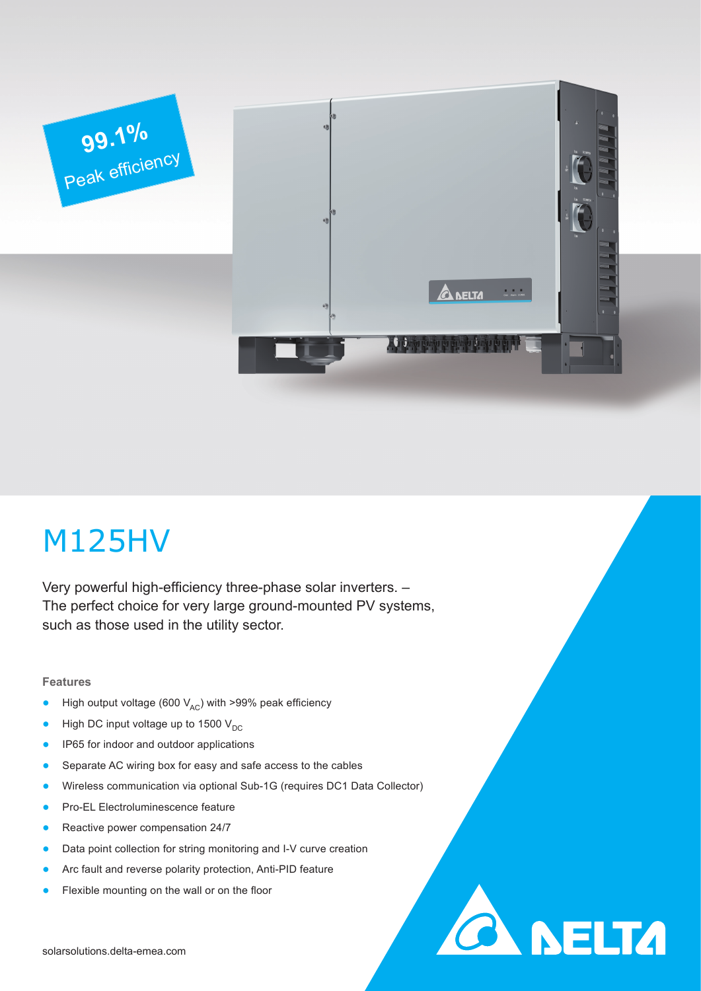

# M125HV

Very powerful high-efficiency three-phase solar inverters. – The perfect choice for very large ground-mounted PV systems, such as those used in the utility sector.

## **Features**

- High output voltage (600  $V_{AC}$ ) with >99% peak efficiency
- High DC input voltage up to 1500  $V_{DC}$
- IP65 for indoor and outdoor applications
- Separate AC wiring box for easy and safe access to the cables
- Wireless communication via optional Sub-1G (requires DC1 Data Collector)

**CA NELTA** 

- Pro-EL Electroluminescence feature
- Reactive power compensation 24/7
- Data point collection for string monitoring and I-V curve creation
- Arc fault and reverse polarity protection, Anti-PID feature
- Flexible mounting on the wall or on the floor